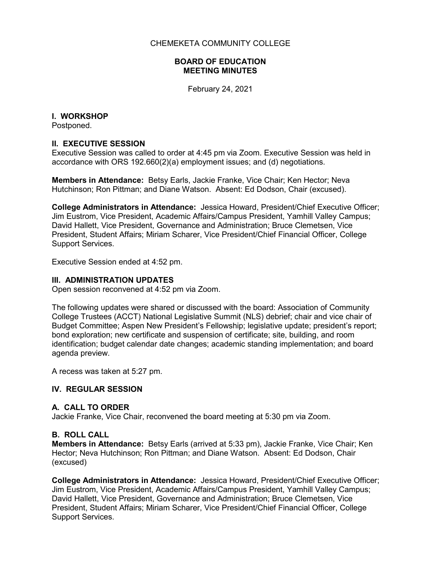#### CHEMEKETA COMMUNITY COLLEGE

#### **BOARD OF EDUCATION MEETING MINUTES**

February 24, 2021

## **I. WORKSHOP**

Postponed.

## **II. EXECUTIVE SESSION**

Executive Session was called to order at 4:45 pm via Zoom. Executive Session was held in accordance with ORS 192.660(2)(a) employment issues; and (d) negotiations.

**Members in Attendance:** Betsy Earls, Jackie Franke, Vice Chair; Ken Hector; Neva Hutchinson; Ron Pittman; and Diane Watson. Absent: Ed Dodson, Chair (excused).

**College Administrators in Attendance:** Jessica Howard, President/Chief Executive Officer; Jim Eustrom, Vice President, Academic Affairs/Campus President, Yamhill Valley Campus; David Hallett, Vice President, Governance and Administration; Bruce Clemetsen, Vice President, Student Affairs; Miriam Scharer, Vice President/Chief Financial Officer, College Support Services.

Executive Session ended at 4:52 pm.

### **III. ADMINISTRATION UPDATES**

Open session reconvened at 4:52 pm via Zoom.

The following updates were shared or discussed with the board: Association of Community College Trustees (ACCT) National Legislative Summit (NLS) debrief; chair and vice chair of Budget Committee; Aspen New President's Fellowship; legislative update; president's report; bond exploration; new certificate and suspension of certificate; site, building, and room identification; budget calendar date changes; academic standing implementation; and board agenda preview.

A recess was taken at 5:27 pm.

## **IV. REGULAR SESSION**

## **A. CALL TO ORDER**

Jackie Franke, Vice Chair, reconvened the board meeting at 5:30 pm via Zoom.

## **B. ROLL CALL**

**Members in Attendance:** Betsy Earls (arrived at 5:33 pm), Jackie Franke, Vice Chair; Ken Hector; Neva Hutchinson; Ron Pittman; and Diane Watson. Absent: Ed Dodson, Chair (excused)

**College Administrators in Attendance:** Jessica Howard, President/Chief Executive Officer; Jim Eustrom, Vice President, Academic Affairs/Campus President, Yamhill Valley Campus; David Hallett, Vice President, Governance and Administration; Bruce Clemetsen, Vice President, Student Affairs; Miriam Scharer, Vice President/Chief Financial Officer, College Support Services.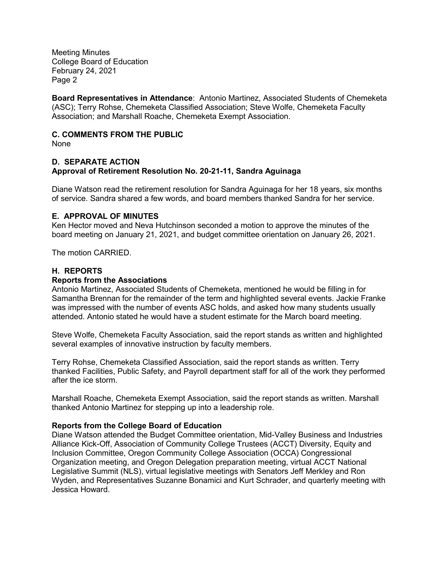**Board Representatives in Attendance**: Antonio Martinez, Associated Students of Chemeketa (ASC); Terry Rohse, Chemeketa Classified Association; Steve Wolfe, Chemeketa Faculty Association; and Marshall Roache, Chemeketa Exempt Association.

# **C. COMMENTS FROM THE PUBLIC**

None

### **D. SEPARATE ACTION Approval of Retirement Resolution No. 20-21-11, Sandra Aguinaga**

Diane Watson read the retirement resolution for Sandra Aguinaga for her 18 years, six months of service. Sandra shared a few words, and board members thanked Sandra for her service.

### **E. APPROVAL OF MINUTES**

Ken Hector moved and Neva Hutchinson seconded a motion to approve the minutes of the board meeting on January 21, 2021, and budget committee orientation on January 26, 2021.

The motion CARRIED.

### **H. REPORTS**

#### **Reports from the Associations**

Antonio Martinez, Associated Students of Chemeketa, mentioned he would be filling in for Samantha Brennan for the remainder of the term and highlighted several events. Jackie Franke was impressed with the number of events ASC holds, and asked how many students usually attended. Antonio stated he would have a student estimate for the March board meeting.

Steve Wolfe, Chemeketa Faculty Association, said the report stands as written and highlighted several examples of innovative instruction by faculty members.

Terry Rohse, Chemeketa Classified Association, said the report stands as written. Terry thanked Facilities, Public Safety, and Payroll department staff for all of the work they performed after the ice storm.

Marshall Roache, Chemeketa Exempt Association, said the report stands as written. Marshall thanked Antonio Martinez for stepping up into a leadership role.

#### **Reports from the College Board of Education**

Diane Watson attended the Budget Committee orientation, Mid-Valley Business and Industries Alliance Kick-Off, Association of Community College Trustees (ACCT) Diversity, Equity and Inclusion Committee, Oregon Community College Association (OCCA) Congressional Organization meeting, and Oregon Delegation preparation meeting, virtual ACCT National Legislative Summit (NLS), virtual legislative meetings with Senators Jeff Merkley and Ron Wyden, and Representatives Suzanne Bonamici and Kurt Schrader, and quarterly meeting with Jessica Howard.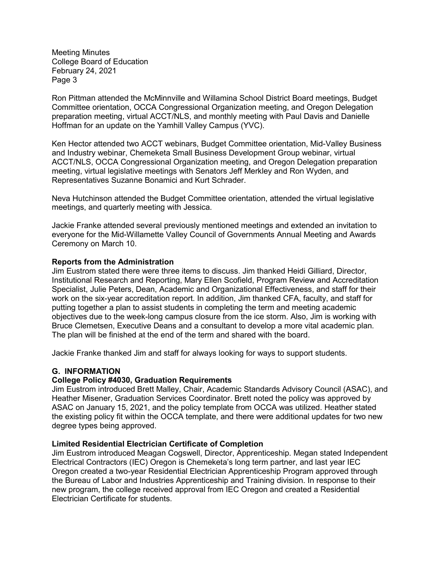Ron Pittman attended the McMinnville and Willamina School District Board meetings, Budget Committee orientation, OCCA Congressional Organization meeting, and Oregon Delegation preparation meeting, virtual ACCT/NLS, and monthly meeting with Paul Davis and Danielle Hoffman for an update on the Yamhill Valley Campus (YVC).

Ken Hector attended two ACCT webinars, Budget Committee orientation, Mid-Valley Business and Industry webinar, Chemeketa Small Business Development Group webinar, virtual ACCT/NLS, OCCA Congressional Organization meeting, and Oregon Delegation preparation meeting, virtual legislative meetings with Senators Jeff Merkley and Ron Wyden, and Representatives Suzanne Bonamici and Kurt Schrader.

Neva Hutchinson attended the Budget Committee orientation, attended the virtual legislative meetings, and quarterly meeting with Jessica.

Jackie Franke attended several previously mentioned meetings and extended an invitation to everyone for the Mid-Willamette Valley Council of Governments Annual Meeting and Awards Ceremony on March 10.

#### **Reports from the Administration**

Jim Eustrom stated there were three items to discuss. Jim thanked Heidi Gilliard, Director, Institutional Research and Reporting, Mary Ellen Scofield, Program Review and Accreditation Specialist, Julie Peters, Dean, Academic and Organizational Effectiveness, and staff for their work on the six-year accreditation report. In addition, Jim thanked CFA, faculty, and staff for putting together a plan to assist students in completing the term and meeting academic objectives due to the week-long campus closure from the ice storm. Also, Jim is working with Bruce Clemetsen, Executive Deans and a consultant to develop a more vital academic plan. The plan will be finished at the end of the term and shared with the board.

Jackie Franke thanked Jim and staff for always looking for ways to support students.

#### **G. INFORMATION**

#### **College Policy #4030, Graduation Requirements**

Jim Eustrom introduced Brett Malley, Chair, Academic Standards Advisory Council (ASAC), and Heather Misener, Graduation Services Coordinator. Brett noted the policy was approved by ASAC on January 15, 2021, and the policy template from OCCA was utilized. Heather stated the existing policy fit within the OCCA template, and there were additional updates for two new degree types being approved.

#### **Limited Residential Electrician Certificate of Completion**

Jim Eustrom introduced Meagan Cogswell, Director, Apprenticeship. Megan stated Independent Electrical Contractors (IEC) Oregon is Chemeketa's long term partner, and last year IEC Oregon created a two-year Residential Electrician Apprenticeship Program approved through the Bureau of Labor and Industries Apprenticeship and Training division. In response to their new program, the college received approval from IEC Oregon and created a Residential Electrician Certificate for students.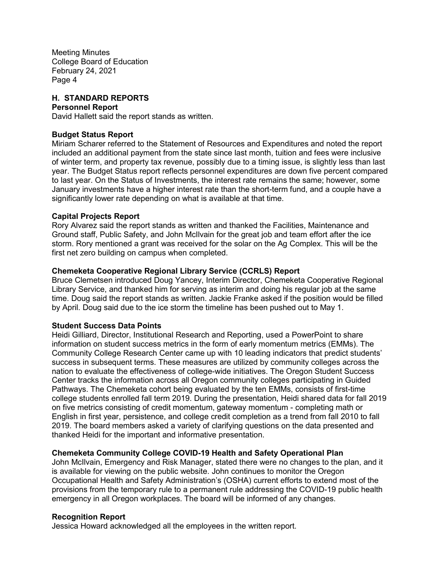### **H. STANDARD REPORTS**

#### **Personnel Report**

David Hallett said the report stands as written.

#### **Budget Status Report**

Miriam Scharer referred to the Statement of Resources and Expenditures and noted the report included an additional payment from the state since last month, tuition and fees were inclusive of winter term, and property tax revenue, possibly due to a timing issue, is slightly less than last year. The Budget Status report reflects personnel expenditures are down five percent compared to last year. On the Status of Investments, the interest rate remains the same; however, some January investments have a higher interest rate than the short-term fund, and a couple have a significantly lower rate depending on what is available at that time.

#### **Capital Projects Report**

Rory Alvarez said the report stands as written and thanked the Facilities, Maintenance and Ground staff, Public Safety, and John McIlvain for the great job and team effort after the ice storm. Rory mentioned a grant was received for the solar on the Ag Complex. This will be the first net zero building on campus when completed.

### **Chemeketa Cooperative Regional Library Service (CCRLS) Report**

Bruce Clemetsen introduced Doug Yancey, Interim Director, Chemeketa Cooperative Regional Library Service, and thanked him for serving as interim and doing his regular job at the same time. Doug said the report stands as written. Jackie Franke asked if the position would be filled by April. Doug said due to the ice storm the timeline has been pushed out to May 1.

#### **Student Success Data Points**

Heidi Gilliard, Director, Institutional Research and Reporting, used a PowerPoint to share information on student success metrics in the form of early momentum metrics (EMMs). The Community College Research Center came up with 10 leading indicators that predict students' success in subsequent terms. These measures are utilized by community colleges across the nation to evaluate the effectiveness of college-wide initiatives. The Oregon Student Success Center tracks the information across all Oregon community colleges participating in Guided Pathways. The Chemeketa cohort being evaluated by the ten EMMs, consists of first-time college students enrolled fall term 2019. During the presentation, Heidi shared data for fall 2019 on five metrics consisting of credit momentum, gateway momentum - completing math or English in first year, persistence, and college credit completion as a trend from fall 2010 to fall 2019. The board members asked a variety of clarifying questions on the data presented and thanked Heidi for the important and informative presentation.

#### **Chemeketa Community College COVID-19 Health and Safety Operational Plan**

John McIlvain, Emergency and Risk Manager, stated there were no changes to the plan, and it is available for viewing on the public website. John continues to monitor the Oregon Occupational Health and Safety Administration's (OSHA) current efforts to extend most of the provisions from the temporary rule to a permanent rule addressing the COVID-19 public health emergency in all Oregon workplaces. The board will be informed of any changes.

#### **Recognition Report**

Jessica Howard acknowledged all the employees in the written report.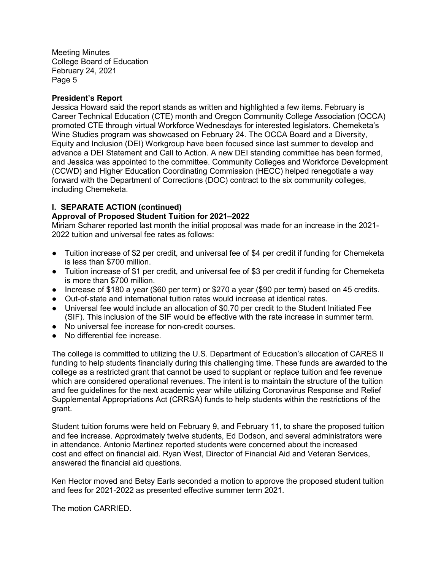### **President's Report**

Jessica Howard said the report stands as written and highlighted a few items. February is Career Technical Education (CTE) month and Oregon Community College Association (OCCA) promoted CTE through virtual Workforce Wednesdays for interested legislators. Chemeketa's Wine Studies program was showcased on February 24. The OCCA Board and a Diversity, Equity and Inclusion (DEI) Workgroup have been focused since last summer to develop and advance a DEI Statement and Call to Action. A new DEI standing committee has been formed, and Jessica was appointed to the committee. Community Colleges and Workforce Development (CCWD) and Higher Education Coordinating Commission (HECC) helped renegotiate a way forward with the Department of Corrections (DOC) contract to the six community colleges, including Chemeketa.

### **I. SEPARATE ACTION (continued)**

## **Approval of Proposed Student Tuition for 2021–2022**

Miriam Scharer reported last month the initial proposal was made for an increase in the 2021- 2022 tuition and universal fee rates as follows:

- Tuition increase of \$2 per credit, and universal fee of \$4 per credit if funding for Chemeketa is less than \$700 million.
- Tuition increase of \$1 per credit, and universal fee of \$3 per credit if funding for Chemeketa is more than \$700 million.
- Increase of \$180 a year (\$60 per term) or \$270 a year (\$90 per term) based on 45 credits.
- Out-of-state and international tuition rates would increase at identical rates.
- Universal fee would include an allocation of \$0.70 per credit to the Student Initiated Fee (SIF). This inclusion of the SIF would be effective with the rate increase in summer term.
- No universal fee increase for non-credit courses.
- No differential fee increase.

The college is committed to utilizing the U.S. Department of Education's allocation of CARES II funding to help students financially during this challenging time. These funds are awarded to the college as a restricted grant that cannot be used to supplant or replace tuition and fee revenue which are considered operational revenues. The intent is to maintain the structure of the tuition and fee guidelines for the next academic year while utilizing Coronavirus Response and Relief Supplemental Appropriations Act (CRRSA) funds to help students within the restrictions of the grant.

Student tuition forums were held on February 9, and February 11, to share the proposed tuition and fee increase. Approximately twelve students, Ed Dodson, and several administrators were in attendance. Antonio Martinez reported students were concerned about the increased cost and effect on financial aid. Ryan West, Director of Financial Aid and Veteran Services, answered the financial aid questions.

Ken Hector moved and Betsy Earls seconded a motion to approve the proposed student tuition and fees for 2021-2022 as presented effective summer term 2021.

The motion CARRIED.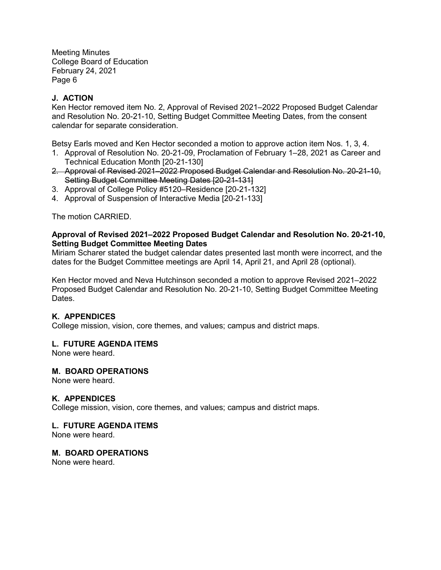# **J. ACTION**

Ken Hector removed item No. 2, Approval of Revised 2021–2022 Proposed Budget Calendar and Resolution No. 20-21-10, Setting Budget Committee Meeting Dates, from the consent calendar for separate consideration.

Betsy Earls moved and Ken Hector seconded a motion to approve action item Nos. 1, 3, 4.

- 1. Approval of Resolution No. 20-21-09, Proclamation of February 1–28, 2021 as Career and Technical Education Month [20-21-130]
- 2. Approval of Revised 2021–2022 Proposed Budget Calendar and Resolution No. 20-21-10, Setting Budget Committee Meeting Dates [20-21-131]
- 3. Approval of College Policy #5120–Residence [20-21-132]
- 4. Approval of Suspension of Interactive Media [20-21-133]

The motion CARRIED.

### **Approval of Revised 2021–2022 Proposed Budget Calendar and Resolution No. 20-21-10, Setting Budget Committee Meeting Dates**

Miriam Scharer stated the budget calendar dates presented last month were incorrect, and the dates for the Budget Committee meetings are April 14, April 21, and April 28 (optional).

Ken Hector moved and Neva Hutchinson seconded a motion to approve Revised 2021–2022 Proposed Budget Calendar and Resolution No. 20-21-10, Setting Budget Committee Meeting Dates.

## **K. APPENDICES**

College mission, vision, core themes, and values; campus and district maps.

#### **L. FUTURE AGENDA ITEMS**

None were heard.

#### **M. BOARD OPERATIONS**

None were heard.

## **K. APPENDICES**

College mission, vision, core themes, and values; campus and district maps.

#### **L. FUTURE AGENDA ITEMS**

None were heard.

### **M. BOARD OPERATIONS**

None were heard.